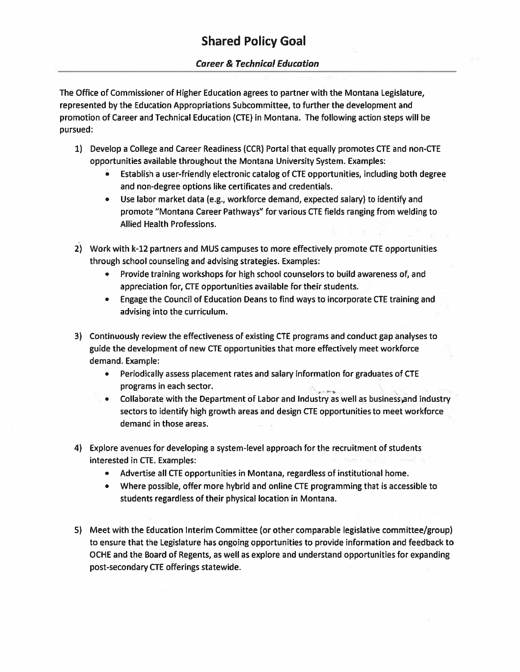The Office of Commissioner of Higher Education agrees to partner with the Montana Legislature, represented by the Education Appropriations Subcommittee, to further the development and promotion of Career and Technical Education (CTE) in Montana. The following action steps will be pursued:

- 1) Develop <sup>a</sup> College and Career Readiness (CCR) Portal that equally promotes CTE and non-CTE opportunities available throughout the Montana University System. Examples:
	- • Establish <sup>a</sup> user-friendly electronic catalog of CTE opportunities, including both degree and non-degree options like certificates and credentials.
	- Use labor market data (e.g., workforce demand, expected salary) to identify and promote "Montana Career Pathways" for various CTE fields ranging from welding to Allied Health Professions.
- 2) Work with k-12 partners and MUS campuses to more effectively promote CTE opportunities through school counseling and advising strategies. Examples:
	- Provide training workshops for high school counselors to build awareness of, and appreciation for, CTE opportunities available for their students.
	- Engage the Council of Education Deans to find ways to incorporate CTE training and advising into the curriculum.
- 3) Continuously review the effectiveness of existing CTE programs and conduct gap analyses to guide the development of new CTE opportunities that more effectively meet workforce demand. Example:
	- • Periodically assess placement rates and salary information for graduates of CTE programs in each sector.
	- Collaborate with the Department of Labor and Industry as well as businessand industry sectors to identify high growth areas and design CTE opportunities to meet workforce demand in those areas.
- 4) Explore avenues for developing <sup>a</sup> system-level approach for the recruitment of students interested in CTE. Examples:
	- Advertise all CTE opportunities in Montana, regardless of institutional home.
	- Where possible, offer more hybrid and online CTE programming that is accessible to students regardless of their physical location in Montana.
- 5) Meet with the Education Interim Committee (or other comparable legislative committee/group) to ensure that the Legislature has ongoing opportunities to provide information and feedback to OCHE and the Board of Regents, as well as explore and understand opportunities for expanding post-secondary CTE offerings statewide.